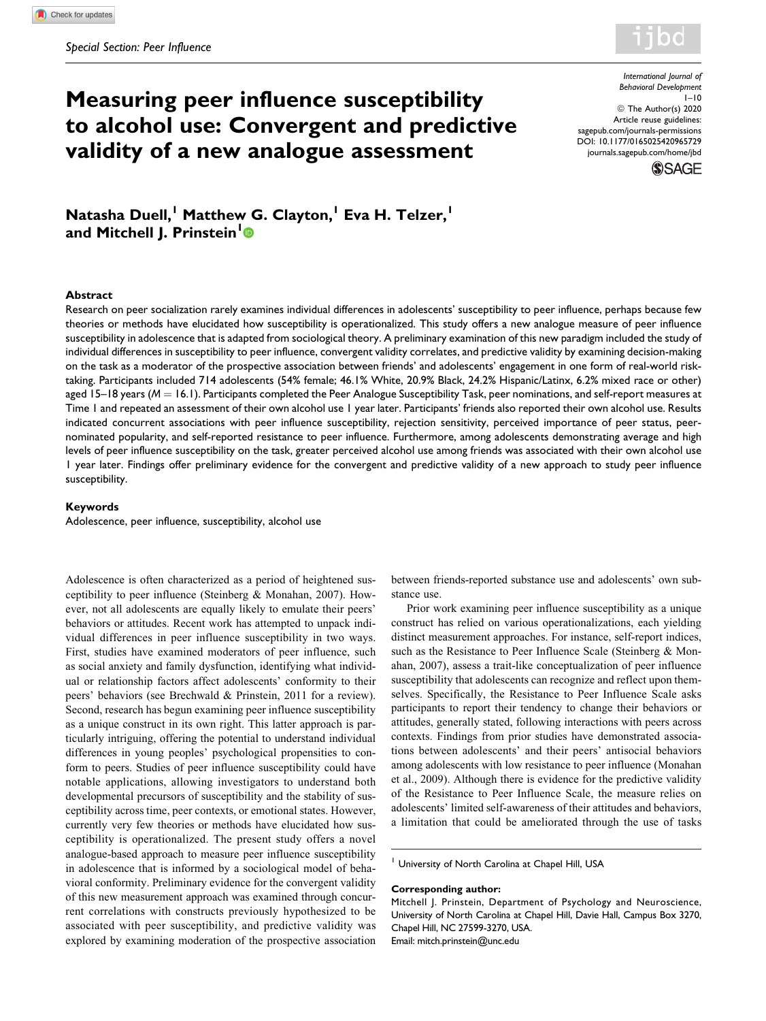

# Measuring peer influence susceptibility to alcohol use: Convergent and predictive validity of a new analogue assessment

International Journal of Behavioral Development  $1 - 10$ © The Author(s) 2020 Article reuse guidelines: [sagepub.com/journals-permissions](https://sagepub.com/journals-permissions) [DOI: 10.1177/0165025420965729](https://doi.org/10.1177/0165025420965729) [journals.sagepub.com/home/jbd](http://journals.sagepub.com/home/jbd)



Natasha Duell,<sup>1</sup> Matthew G. Clayton,<sup>1</sup> Eva H. Telzer,<sup>1</sup> and Mitchell J. Prinstein<sup>[1](https://orcid.org/0000-0002-7587-8665)</sup><sup>®</sup>

#### Abstract

Research on peer socialization rarely examines individual differences in adolescents' susceptibility to peer influence, perhaps because few theories or methods have elucidated how susceptibility is operationalized. This study offers a new analogue measure of peer influence susceptibility in adolescence that is adapted from sociological theory. A preliminary examination of this new paradigm included the study of individual differences in susceptibility to peer influence, convergent validity correlates, and predictive validity by examining decision-making on the task as a moderator of the prospective association between friends' and adolescents' engagement in one form of real-world risktaking. Participants included 714 adolescents (54% female; 46.1% White, 20.9% Black, 24.2% Hispanic/Latinx, 6.2% mixed race or other) aged  $15-18$  years ( $M = 16.1$ ). Participants completed the Peer Analogue Susceptibility Task, peer nominations, and self-report measures at Time 1 and repeated an assessment of their own alcohol use 1 year later. Participants' friends also reported their own alcohol use. Results indicated concurrent associations with peer influence susceptibility, rejection sensitivity, perceived importance of peer status, peernominated popularity, and self-reported resistance to peer influence. Furthermore, among adolescents demonstrating average and high levels of peer influence susceptibility on the task, greater perceived alcohol use among friends was associated with their own alcohol use 1 year later. Findings offer preliminary evidence for the convergent and predictive validity of a new approach to study peer influence susceptibility.

#### Keywords

Adolescence, peer influence, susceptibility, alcohol use

Adolescence is often characterized as a period of heightened susceptibility to peer influence (Steinberg & Monahan, 2007). However, not all adolescents are equally likely to emulate their peers' behaviors or attitudes. Recent work has attempted to unpack individual differences in peer influence susceptibility in two ways. First, studies have examined moderators of peer influence, such as social anxiety and family dysfunction, identifying what individual or relationship factors affect adolescents' conformity to their peers' behaviors (see Brechwald & Prinstein, 2011 for a review). Second, research has begun examining peer influence susceptibility as a unique construct in its own right. This latter approach is particularly intriguing, offering the potential to understand individual differences in young peoples' psychological propensities to conform to peers. Studies of peer influence susceptibility could have notable applications, allowing investigators to understand both developmental precursors of susceptibility and the stability of susceptibility across time, peer contexts, or emotional states. However, currently very few theories or methods have elucidated how susceptibility is operationalized. The present study offers a novel analogue-based approach to measure peer influence susceptibility in adolescence that is informed by a sociological model of behavioral conformity. Preliminary evidence for the convergent validity of this new measurement approach was examined through concurrent correlations with constructs previously hypothesized to be associated with peer susceptibility, and predictive validity was explored by examining moderation of the prospective association between friends-reported substance use and adolescents' own substance use.

Prior work examining peer influence susceptibility as a unique construct has relied on various operationalizations, each yielding distinct measurement approaches. For instance, self-report indices, such as the Resistance to Peer Influence Scale (Steinberg & Monahan, 2007), assess a trait-like conceptualization of peer influence susceptibility that adolescents can recognize and reflect upon themselves. Specifically, the Resistance to Peer Influence Scale asks participants to report their tendency to change their behaviors or attitudes, generally stated, following interactions with peers across contexts. Findings from prior studies have demonstrated associations between adolescents' and their peers' antisocial behaviors among adolescents with low resistance to peer influence (Monahan et al., 2009). Although there is evidence for the predictive validity of the Resistance to Peer Influence Scale, the measure relies on adolescents' limited self-awareness of their attitudes and behaviors, a limitation that could be ameliorated through the use of tasks

<sup>1</sup> University of North Carolina at Chapel Hill, USA

#### Corresponding author:

Mitchell J. Prinstein, Department of Psychology and Neuroscience, University of North Carolina at Chapel Hill, Davie Hall, Campus Box 3270, Chapel Hill, NC 27599-3270, USA. Email: [mitch.prinstein@unc.edu](mailto:mitch.prinstein@unc.edu)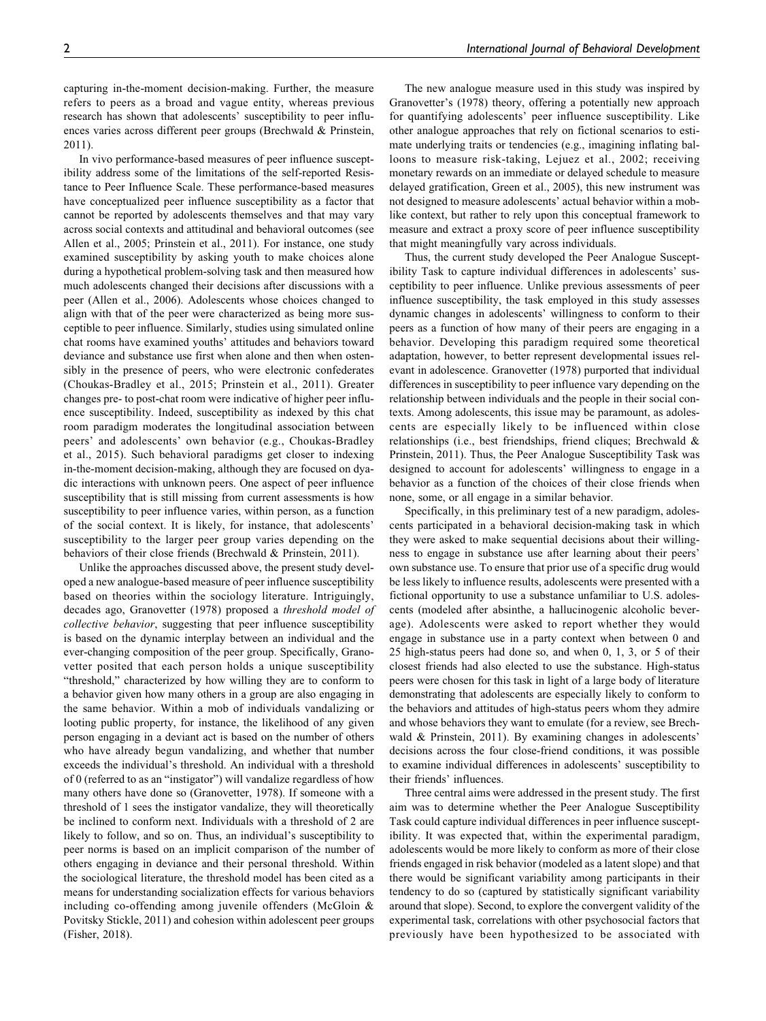capturing in-the-moment decision-making. Further, the measure refers to peers as a broad and vague entity, whereas previous research has shown that adolescents' susceptibility to peer influences varies across different peer groups (Brechwald & Prinstein, 2011).

In vivo performance-based measures of peer influence susceptibility address some of the limitations of the self-reported Resistance to Peer Influence Scale. These performance-based measures have conceptualized peer influence susceptibility as a factor that cannot be reported by adolescents themselves and that may vary across social contexts and attitudinal and behavioral outcomes (see Allen et al., 2005; Prinstein et al., 2011). For instance, one study examined susceptibility by asking youth to make choices alone during a hypothetical problem-solving task and then measured how much adolescents changed their decisions after discussions with a peer (Allen et al., 2006). Adolescents whose choices changed to align with that of the peer were characterized as being more susceptible to peer influence. Similarly, studies using simulated online chat rooms have examined youths' attitudes and behaviors toward deviance and substance use first when alone and then when ostensibly in the presence of peers, who were electronic confederates (Choukas-Bradley et al., 2015; Prinstein et al., 2011). Greater changes pre- to post-chat room were indicative of higher peer influence susceptibility. Indeed, susceptibility as indexed by this chat room paradigm moderates the longitudinal association between peers' and adolescents' own behavior (e.g., Choukas-Bradley et al., 2015). Such behavioral paradigms get closer to indexing in-the-moment decision-making, although they are focused on dyadic interactions with unknown peers. One aspect of peer influence susceptibility that is still missing from current assessments is how susceptibility to peer influence varies, within person, as a function of the social context. It is likely, for instance, that adolescents' susceptibility to the larger peer group varies depending on the behaviors of their close friends (Brechwald & Prinstein, 2011).

Unlike the approaches discussed above, the present study developed a new analogue-based measure of peer influence susceptibility based on theories within the sociology literature. Intriguingly, decades ago, Granovetter (1978) proposed a threshold model of collective behavior, suggesting that peer influence susceptibility is based on the dynamic interplay between an individual and the ever-changing composition of the peer group. Specifically, Granovetter posited that each person holds a unique susceptibility "threshold," characterized by how willing they are to conform to a behavior given how many others in a group are also engaging in the same behavior. Within a mob of individuals vandalizing or looting public property, for instance, the likelihood of any given person engaging in a deviant act is based on the number of others who have already begun vandalizing, and whether that number exceeds the individual's threshold. An individual with a threshold of 0 (referred to as an "instigator") will vandalize regardless of how many others have done so (Granovetter, 1978). If someone with a threshold of 1 sees the instigator vandalize, they will theoretically be inclined to conform next. Individuals with a threshold of 2 are likely to follow, and so on. Thus, an individual's susceptibility to peer norms is based on an implicit comparison of the number of others engaging in deviance and their personal threshold. Within the sociological literature, the threshold model has been cited as a means for understanding socialization effects for various behaviors including co-offending among juvenile offenders (McGloin & Povitsky Stickle, 2011) and cohesion within adolescent peer groups (Fisher, 2018).

The new analogue measure used in this study was inspired by Granovetter's (1978) theory, offering a potentially new approach for quantifying adolescents' peer influence susceptibility. Like other analogue approaches that rely on fictional scenarios to estimate underlying traits or tendencies (e.g., imagining inflating balloons to measure risk-taking, Lejuez et al., 2002; receiving monetary rewards on an immediate or delayed schedule to measure delayed gratification, Green et al., 2005), this new instrument was not designed to measure adolescents' actual behavior within a moblike context, but rather to rely upon this conceptual framework to measure and extract a proxy score of peer influence susceptibility that might meaningfully vary across individuals.

Thus, the current study developed the Peer Analogue Susceptibility Task to capture individual differences in adolescents' susceptibility to peer influence. Unlike previous assessments of peer influence susceptibility, the task employed in this study assesses dynamic changes in adolescents' willingness to conform to their peers as a function of how many of their peers are engaging in a behavior. Developing this paradigm required some theoretical adaptation, however, to better represent developmental issues relevant in adolescence. Granovetter (1978) purported that individual differences in susceptibility to peer influence vary depending on the relationship between individuals and the people in their social contexts. Among adolescents, this issue may be paramount, as adolescents are especially likely to be influenced within close relationships (i.e., best friendships, friend cliques; Brechwald & Prinstein, 2011). Thus, the Peer Analogue Susceptibility Task was designed to account for adolescents' willingness to engage in a behavior as a function of the choices of their close friends when none, some, or all engage in a similar behavior.

Specifically, in this preliminary test of a new paradigm, adolescents participated in a behavioral decision-making task in which they were asked to make sequential decisions about their willingness to engage in substance use after learning about their peers' own substance use. To ensure that prior use of a specific drug would be less likely to influence results, adolescents were presented with a fictional opportunity to use a substance unfamiliar to U.S. adolescents (modeled after absinthe, a hallucinogenic alcoholic beverage). Adolescents were asked to report whether they would engage in substance use in a party context when between 0 and 25 high-status peers had done so, and when 0, 1, 3, or 5 of their closest friends had also elected to use the substance. High-status peers were chosen for this task in light of a large body of literature demonstrating that adolescents are especially likely to conform to the behaviors and attitudes of high-status peers whom they admire and whose behaviors they want to emulate (for a review, see Brechwald & Prinstein, 2011). By examining changes in adolescents' decisions across the four close-friend conditions, it was possible to examine individual differences in adolescents' susceptibility to their friends' influences.

Three central aims were addressed in the present study. The first aim was to determine whether the Peer Analogue Susceptibility Task could capture individual differences in peer influence susceptibility. It was expected that, within the experimental paradigm, adolescents would be more likely to conform as more of their close friends engaged in risk behavior (modeled as a latent slope) and that there would be significant variability among participants in their tendency to do so (captured by statistically significant variability around that slope). Second, to explore the convergent validity of the experimental task, correlations with other psychosocial factors that previously have been hypothesized to be associated with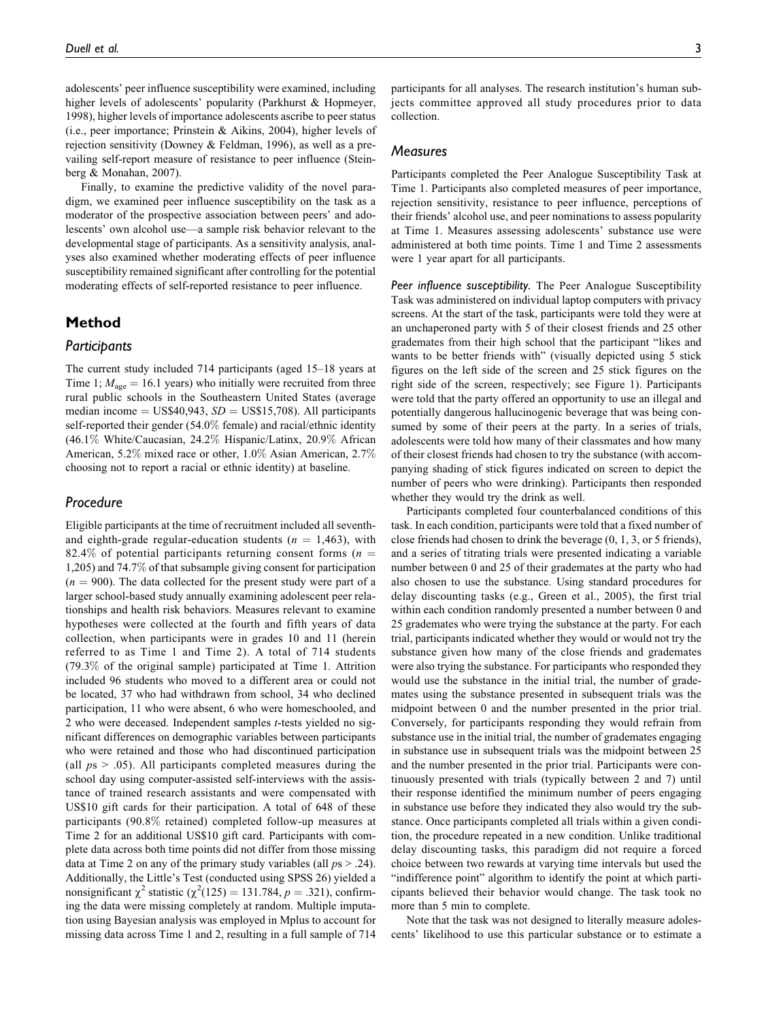adolescents' peer influence susceptibility were examined, including higher levels of adolescents' popularity (Parkhurst & Hopmeyer, 1998), higher levels of importance adolescents ascribe to peer status (i.e., peer importance; Prinstein & Aikins, 2004), higher levels of rejection sensitivity (Downey & Feldman, 1996), as well as a prevailing self-report measure of resistance to peer influence (Steinberg & Monahan, 2007).

Finally, to examine the predictive validity of the novel paradigm, we examined peer influence susceptibility on the task as a moderator of the prospective association between peers' and adolescents' own alcohol use—a sample risk behavior relevant to the developmental stage of participants. As a sensitivity analysis, analyses also examined whether moderating effects of peer influence susceptibility remained significant after controlling for the potential moderating effects of self-reported resistance to peer influence.

## Method

### **Participants**

The current study included 714 participants (aged 15–18 years at Time 1;  $M_{\text{age}} = 16.1$  years) who initially were recruited from three rural public schools in the Southeastern United States (average median income =  $US$40,943$ ,  $SD = US$15,708$ ). All participants self-reported their gender (54.0% female) and racial/ethnic identity (46.1% White/Caucasian, 24.2% Hispanic/Latinx, 20.9% African American, 5.2% mixed race or other, 1.0% Asian American, 2.7% choosing not to report a racial or ethnic identity) at baseline.

## Procedure

Eligible participants at the time of recruitment included all seventhand eighth-grade regular-education students ( $n = 1,463$ ), with 82.4% of potential participants returning consent forms ( $n =$ 1,205) and 74.7% of that subsample giving consent for participation  $(n = 900)$ . The data collected for the present study were part of a larger school-based study annually examining adolescent peer relationships and health risk behaviors. Measures relevant to examine hypotheses were collected at the fourth and fifth years of data collection, when participants were in grades 10 and 11 (herein referred to as Time 1 and Time 2). A total of 714 students (79.3% of the original sample) participated at Time 1. Attrition included 96 students who moved to a different area or could not be located, 37 who had withdrawn from school, 34 who declined participation, 11 who were absent, 6 who were homeschooled, and 2 who were deceased. Independent samples t-tests yielded no significant differences on demographic variables between participants who were retained and those who had discontinued participation (all  $ps > .05$ ). All participants completed measures during the school day using computer-assisted self-interviews with the assistance of trained research assistants and were compensated with US\$10 gift cards for their participation. A total of 648 of these participants (90.8% retained) completed follow-up measures at Time 2 for an additional US\$10 gift card. Participants with complete data across both time points did not differ from those missing data at Time 2 on any of the primary study variables (all  $ps > .24$ ). Additionally, the Little's Test (conducted using SPSS 26) yielded a nonsignificant  $\chi^2$  statistic ( $\chi^2(125) = 131.784$ ,  $p = .321$ ), confirming the data were missing completely at random. Multiple imputation using Bayesian analysis was employed in Mplus to account for missing data across Time 1 and 2, resulting in a full sample of 714 participants for all analyses. The research institution's human subjects committee approved all study procedures prior to data collection.

## **Measures**

Participants completed the Peer Analogue Susceptibility Task at Time 1. Participants also completed measures of peer importance, rejection sensitivity, resistance to peer influence, perceptions of their friends' alcohol use, and peer nominations to assess popularity at Time 1. Measures assessing adolescents' substance use were administered at both time points. Time 1 and Time 2 assessments were 1 year apart for all participants.

Peer influence susceptibility. The Peer Analogue Susceptibility Task was administered on individual laptop computers with privacy screens. At the start of the task, participants were told they were at an unchaperoned party with 5 of their closest friends and 25 other grademates from their high school that the participant "likes and wants to be better friends with" (visually depicted using 5 stick figures on the left side of the screen and 25 stick figures on the right side of the screen, respectively; see Figure 1). Participants were told that the party offered an opportunity to use an illegal and potentially dangerous hallucinogenic beverage that was being consumed by some of their peers at the party. In a series of trials, adolescents were told how many of their classmates and how many of their closest friends had chosen to try the substance (with accompanying shading of stick figures indicated on screen to depict the number of peers who were drinking). Participants then responded whether they would try the drink as well.

Participants completed four counterbalanced conditions of this task. In each condition, participants were told that a fixed number of close friends had chosen to drink the beverage (0, 1, 3, or 5 friends), and a series of titrating trials were presented indicating a variable number between 0 and 25 of their grademates at the party who had also chosen to use the substance. Using standard procedures for delay discounting tasks (e.g., Green et al., 2005), the first trial within each condition randomly presented a number between 0 and 25 grademates who were trying the substance at the party. For each trial, participants indicated whether they would or would not try the substance given how many of the close friends and grademates were also trying the substance. For participants who responded they would use the substance in the initial trial, the number of grademates using the substance presented in subsequent trials was the midpoint between 0 and the number presented in the prior trial. Conversely, for participants responding they would refrain from substance use in the initial trial, the number of grademates engaging in substance use in subsequent trials was the midpoint between 25 and the number presented in the prior trial. Participants were continuously presented with trials (typically between 2 and 7) until their response identified the minimum number of peers engaging in substance use before they indicated they also would try the substance. Once participants completed all trials within a given condition, the procedure repeated in a new condition. Unlike traditional delay discounting tasks, this paradigm did not require a forced choice between two rewards at varying time intervals but used the "indifference point" algorithm to identify the point at which participants believed their behavior would change. The task took no more than 5 min to complete.

Note that the task was not designed to literally measure adolescents' likelihood to use this particular substance or to estimate a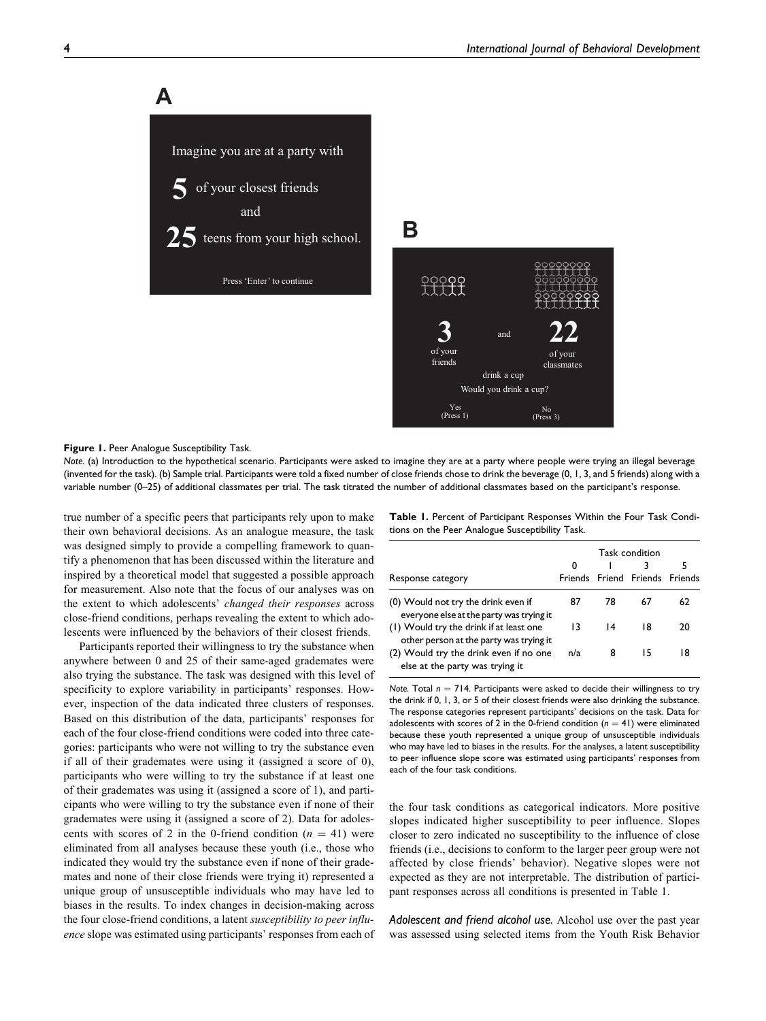Imagine you are at a party with of your closest friends and  $25$  teens from your high school. Press 'Enter' to continue **5 A**

**B**



#### Figure 1. Peer Analogue Susceptibility Task.

Note. (a) Introduction to the hypothetical scenario. Participants were asked to imagine they are at a party where people were trying an illegal beverage (invented for the task). (b) Sample trial. Participants were told a fixed number of close friends chose to drink the beverage (0, 1, 3, and 5 friends) along with a variable number (0–25) of additional classmates per trial. The task titrated the number of additional classmates based on the participant's response.

true number of a specific peers that participants rely upon to make their own behavioral decisions. As an analogue measure, the task was designed simply to provide a compelling framework to quantify a phenomenon that has been discussed within the literature and inspired by a theoretical model that suggested a possible approach for measurement. Also note that the focus of our analyses was on the extent to which adolescents' changed their responses across close-friend conditions, perhaps revealing the extent to which adolescents were influenced by the behaviors of their closest friends.

Participants reported their willingness to try the substance when anywhere between 0 and 25 of their same-aged grademates were also trying the substance. The task was designed with this level of specificity to explore variability in participants' responses. However, inspection of the data indicated three clusters of responses. Based on this distribution of the data, participants' responses for each of the four close-friend conditions were coded into three categories: participants who were not willing to try the substance even if all of their grademates were using it (assigned a score of 0), participants who were willing to try the substance if at least one of their grademates was using it (assigned a score of 1), and participants who were willing to try the substance even if none of their grademates were using it (assigned a score of 2). Data for adolescents with scores of 2 in the 0-friend condition  $(n = 41)$  were eliminated from all analyses because these youth (i.e., those who indicated they would try the substance even if none of their grademates and none of their close friends were trying it) represented a unique group of unsusceptible individuals who may have led to biases in the results. To index changes in decision-making across the four close-friend conditions, a latent susceptibility to peer influence slope was estimated using participants' responses from each of Table 1. Percent of Participant Responses Within the Four Task Conditions on the Peer Analogue Susceptibility Task.

| Task condition |                                                                                                                               |    |                                |  |  |  |  |
|----------------|-------------------------------------------------------------------------------------------------------------------------------|----|--------------------------------|--|--|--|--|
| 0              |                                                                                                                               |    |                                |  |  |  |  |
|                |                                                                                                                               |    |                                |  |  |  |  |
| 87             | 78                                                                                                                            | 67 | 62                             |  |  |  |  |
| 13             | 14                                                                                                                            | 18 | 20                             |  |  |  |  |
| n/a            | 8                                                                                                                             | 15 | 18                             |  |  |  |  |
|                | everyone else at the party was trying it<br>other person at the party was trying it<br>(2) Would try the drink even if no one |    | Friends Friend Friends Friends |  |  |  |  |

Note. Total  $n = 714$ . Participants were asked to decide their willingness to try the drink if 0, 1, 3, or 5 of their closest friends were also drinking the substance. The response categories represent participants' decisions on the task. Data for adolescents with scores of 2 in the 0-friend condition ( $n = 41$ ) were eliminated because these youth represented a unique group of unsusceptible individuals who may have led to biases in the results. For the analyses, a latent susceptibility to peer influence slope score was estimated using participants' responses from each of the four task conditions.

the four task conditions as categorical indicators. More positive slopes indicated higher susceptibility to peer influence. Slopes closer to zero indicated no susceptibility to the influence of close friends (i.e., decisions to conform to the larger peer group were not affected by close friends' behavior). Negative slopes were not expected as they are not interpretable. The distribution of participant responses across all conditions is presented in Table 1.

Adolescent and friend alcohol use. Alcohol use over the past year was assessed using selected items from the Youth Risk Behavior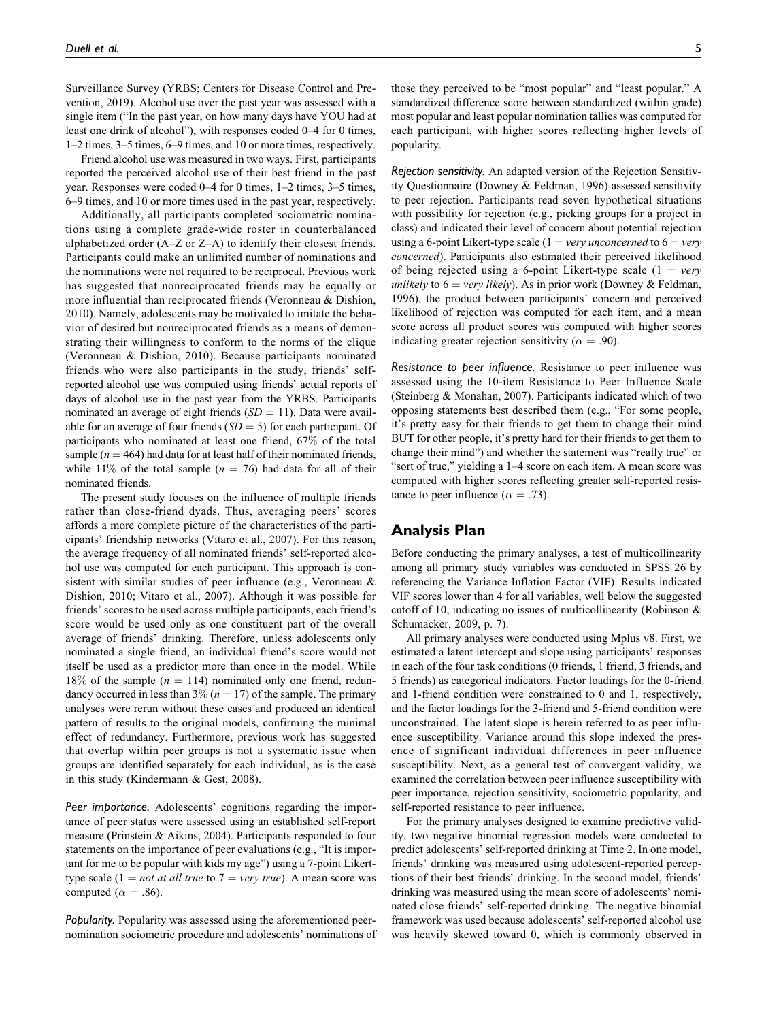Surveillance Survey (YRBS; Centers for Disease Control and Prevention, 2019). Alcohol use over the past year was assessed with a single item ("In the past year, on how many days have YOU had at least one drink of alcohol"), with responses coded 0–4 for 0 times, 1–2 times, 3–5 times, 6–9 times, and 10 or more times, respectively.

Friend alcohol use was measured in two ways. First, participants reported the perceived alcohol use of their best friend in the past year. Responses were coded 0–4 for 0 times, 1–2 times, 3–5 times, 6–9 times, and 10 or more times used in the past year, respectively.

Additionally, all participants completed sociometric nominations using a complete grade-wide roster in counterbalanced alphabetized order (A–Z or Z–A) to identify their closest friends. Participants could make an unlimited number of nominations and the nominations were not required to be reciprocal. Previous work has suggested that nonreciprocated friends may be equally or more influential than reciprocated friends (Veronneau & Dishion, 2010). Namely, adolescents may be motivated to imitate the behavior of desired but nonreciprocated friends as a means of demonstrating their willingness to conform to the norms of the clique (Veronneau & Dishion, 2010). Because participants nominated friends who were also participants in the study, friends' selfreported alcohol use was computed using friends' actual reports of days of alcohol use in the past year from the YRBS. Participants nominated an average of eight friends  $(SD = 11)$ . Data were available for an average of four friends  $(SD = 5)$  for each participant. Of participants who nominated at least one friend, 67% of the total sample ( $n = 464$ ) had data for at least half of their nominated friends, while 11% of the total sample ( $n = 76$ ) had data for all of their nominated friends.

The present study focuses on the influence of multiple friends rather than close-friend dyads. Thus, averaging peers' scores affords a more complete picture of the characteristics of the participants' friendship networks (Vitaro et al., 2007). For this reason, the average frequency of all nominated friends' self-reported alcohol use was computed for each participant. This approach is consistent with similar studies of peer influence (e.g., Veronneau & Dishion, 2010; Vitaro et al., 2007). Although it was possible for friends' scores to be used across multiple participants, each friend's score would be used only as one constituent part of the overall average of friends' drinking. Therefore, unless adolescents only nominated a single friend, an individual friend's score would not itself be used as a predictor more than once in the model. While 18% of the sample ( $n = 114$ ) nominated only one friend, redundancy occurred in less than 3% ( $n = 17$ ) of the sample. The primary analyses were rerun without these cases and produced an identical pattern of results to the original models, confirming the minimal effect of redundancy. Furthermore, previous work has suggested that overlap within peer groups is not a systematic issue when groups are identified separately for each individual, as is the case in this study (Kindermann & Gest, 2008).

Peer importance. Adolescents' cognitions regarding the importance of peer status were assessed using an established self-report measure (Prinstein & Aikins, 2004). Participants responded to four statements on the importance of peer evaluations (e.g., "It is important for me to be popular with kids my age") using a 7-point Likerttype scale (1 = *not at all true* to 7 = *very true*). A mean score was computed ( $\alpha = .86$ ).

Popularity. Popularity was assessed using the aforementioned peernomination sociometric procedure and adolescents' nominations of those they perceived to be "most popular" and "least popular." A standardized difference score between standardized (within grade) most popular and least popular nomination tallies was computed for each participant, with higher scores reflecting higher levels of popularity.

Rejection sensitivity. An adapted version of the Rejection Sensitivity Questionnaire (Downey & Feldman, 1996) assessed sensitivity to peer rejection. Participants read seven hypothetical situations with possibility for rejection (e.g., picking groups for a project in class) and indicated their level of concern about potential rejection using a 6-point Likert-type scale (1 = very unconcerned to  $6 = \text{very}$ ) concerned). Participants also estimated their perceived likelihood of being rejected using a 6-point Likert-type scale  $(1 = v \cdot v \cdot v)$ unlikely to  $6 = \text{very likely}$ ). As in prior work (Downey & Feldman, 1996), the product between participants' concern and perceived likelihood of rejection was computed for each item, and a mean score across all product scores was computed with higher scores indicating greater rejection sensitivity ( $\alpha = .90$ ).

Resistance to peer influence. Resistance to peer influence was assessed using the 10-item Resistance to Peer Influence Scale (Steinberg & Monahan, 2007). Participants indicated which of two opposing statements best described them (e.g., "For some people, it's pretty easy for their friends to get them to change their mind BUT for other people, it's pretty hard for their friends to get them to change their mind") and whether the statement was "really true" or "sort of true," yielding a 1–4 score on each item. A mean score was computed with higher scores reflecting greater self-reported resistance to peer influence ( $\alpha = .73$ ).

## Analysis Plan

Before conducting the primary analyses, a test of multicollinearity among all primary study variables was conducted in SPSS 26 by referencing the Variance Inflation Factor (VIF). Results indicated VIF scores lower than 4 for all variables, well below the suggested cutoff of 10, indicating no issues of multicollinearity (Robinson & Schumacker, 2009, p. 7).

All primary analyses were conducted using Mplus v8. First, we estimated a latent intercept and slope using participants' responses in each of the four task conditions (0 friends, 1 friend, 3 friends, and 5 friends) as categorical indicators. Factor loadings for the 0-friend and 1-friend condition were constrained to 0 and 1, respectively, and the factor loadings for the 3-friend and 5-friend condition were unconstrained. The latent slope is herein referred to as peer influence susceptibility. Variance around this slope indexed the presence of significant individual differences in peer influence susceptibility. Next, as a general test of convergent validity, we examined the correlation between peer influence susceptibility with peer importance, rejection sensitivity, sociometric popularity, and self-reported resistance to peer influence.

For the primary analyses designed to examine predictive validity, two negative binomial regression models were conducted to predict adolescents' self-reported drinking at Time 2. In one model, friends' drinking was measured using adolescent-reported perceptions of their best friends' drinking. In the second model, friends' drinking was measured using the mean score of adolescents' nominated close friends' self-reported drinking. The negative binomial framework was used because adolescents' self-reported alcohol use was heavily skewed toward 0, which is commonly observed in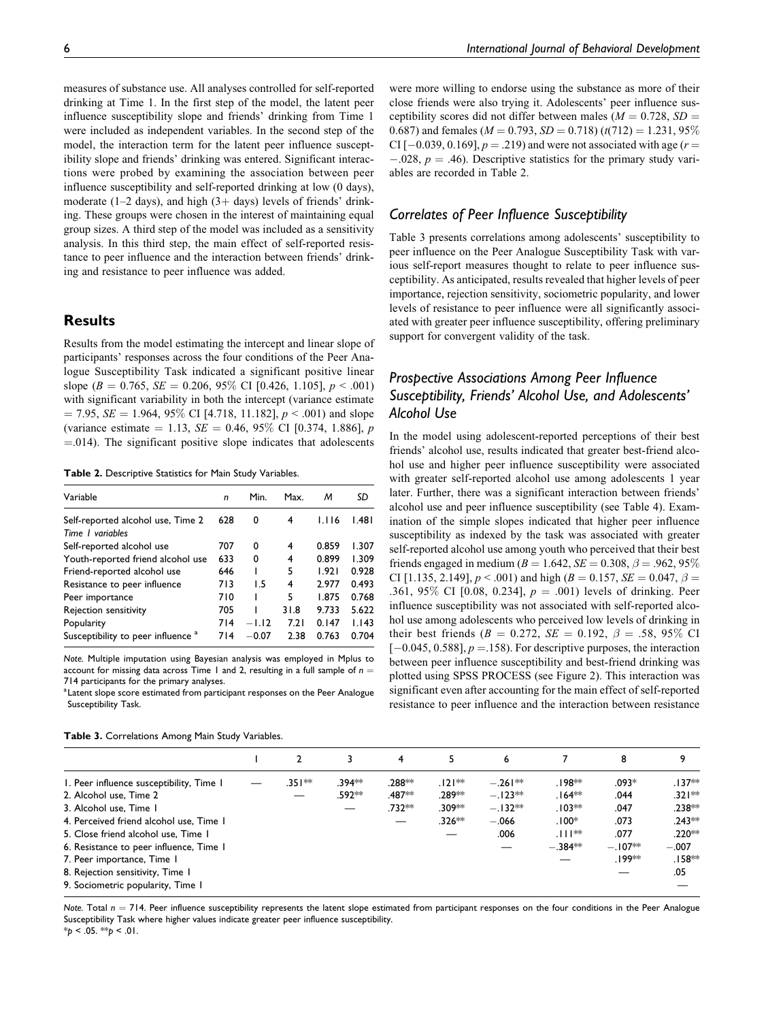measures of substance use. All analyses controlled for self-reported drinking at Time 1. In the first step of the model, the latent peer influence susceptibility slope and friends' drinking from Time 1 were included as independent variables. In the second step of the model, the interaction term for the latent peer influence susceptibility slope and friends' drinking was entered. Significant interactions were probed by examining the association between peer influence susceptibility and self-reported drinking at low (0 days), moderate (1-2 days), and high  $(3 + days)$  levels of friends' drinking. These groups were chosen in the interest of maintaining equal group sizes. A third step of the model was included as a sensitivity analysis. In this third step, the main effect of self-reported resistance to peer influence and the interaction between friends' drinking and resistance to peer influence was added.

## **Results**

Results from the model estimating the intercept and linear slope of participants' responses across the four conditions of the Peer Analogue Susceptibility Task indicated a significant positive linear slope ( $B = 0.765$ ,  $SE = 0.206$ ,  $95\%$  CI [0.426, 1.105],  $p < .001$ ) with significant variability in both the intercept (variance estimate  $= 7.95$ ,  $SE = 1.964$ ,  $95\%$  CI [4.718, 11.182],  $p < .001$ ) and slope (variance estimate = 1.13,  $SE = 0.46$ , 95% CI [0.374, 1.886], p  $=$ .014). The significant positive slope indicates that adolescents

Table 2. Descriptive Statistics for Main Study Variables.

| Variable                                                     | n   | Min.    | Max.           | м     | SD    |
|--------------------------------------------------------------|-----|---------|----------------|-------|-------|
| Self-reported alcohol use, Time 2<br>Time <i>I</i> variables | 628 | 0       | 4              | 1.116 | 1.481 |
| Self-reported alcohol use                                    | 707 | 0       | $\overline{4}$ | 0.859 | 1.307 |
| Youth-reported friend alcohol use                            | 633 | 0       | 4              | 0.899 | 1.309 |
| Friend-reported alcohol use                                  | 646 |         | 5              | 1.921 | 0.928 |
| Resistance to peer influence                                 | 713 | 1.5     | 4              | 2.977 | 0.493 |
| Peer importance                                              | 710 |         | 5              | 1.875 | 0.768 |
| Rejection sensitivity                                        | 705 |         | 31.8           | 9.733 | 5.622 |
| Popularity                                                   | 714 | $-1.12$ | 7.21           | 0.147 | 1.143 |
| Susceptibility to peer influence <sup>a</sup>                | 714 | $-0.07$ | 2.38           | 0.763 | 0.704 |

Note. Multiple imputation using Bayesian analysis was employed in Mplus to account for missing data across Time 1 and 2, resulting in a full sample of  $n =$ 714 participants for the primary analyses.

<sup>a</sup> Latent slope score estimated from participant responses on the Peer Analogue Susceptibility Task.

|--|

Table 3. Correlations Among Main Study Variables.

were more willing to endorse using the substance as more of their close friends were also trying it. Adolescents' peer influence susceptibility scores did not differ between males ( $M = 0.728$ ,  $SD =$ 0.687) and females ( $M = 0.793$ ,  $SD = 0.718$ ) ( $t(712) = 1.231$ , 95%) CI [ $-0.039, 0.169$ ],  $p = .219$ ) and were not associated with age ( $r =$  $-0.028$ ,  $p = 0.46$ . Descriptive statistics for the primary study variables are recorded in Table 2.

## Correlates of Peer Influence Susceptibility

Table 3 presents correlations among adolescents' susceptibility to peer influence on the Peer Analogue Susceptibility Task with various self-report measures thought to relate to peer influence susceptibility. As anticipated, results revealed that higher levels of peer importance, rejection sensitivity, sociometric popularity, and lower levels of resistance to peer influence were all significantly associated with greater peer influence susceptibility, offering preliminary support for convergent validity of the task.

## Prospective Associations Among Peer Influence Susceptibility, Friends' Alcohol Use, and Adolescents' Alcohol Use

In the model using adolescent-reported perceptions of their best friends' alcohol use, results indicated that greater best-friend alcohol use and higher peer influence susceptibility were associated with greater self-reported alcohol use among adolescents 1 year later. Further, there was a significant interaction between friends' alcohol use and peer influence susceptibility (see Table 4). Examination of the simple slopes indicated that higher peer influence susceptibility as indexed by the task was associated with greater self-reported alcohol use among youth who perceived that their best friends engaged in medium ( $B = 1.642$ ,  $SE = 0.308$ ,  $\beta = .962$ , 95% CI [1.135, 2.149],  $p < .001$ ) and high ( $B = 0.157$ ,  $SE = 0.047$ ,  $\beta =$ .361, 95\% CI [0.08, 0.234],  $p = .001$ ) levels of drinking. Peer influence susceptibility was not associated with self-reported alcohol use among adolescents who perceived low levels of drinking in their best friends ( $B = 0.272$ ,  $SE = 0.192$ ,  $\beta = .58$ , 95% CI  $[-0.045, 0.588], p = 158$ . For descriptive purposes, the interaction between peer influence susceptibility and best-friend drinking was plotted using SPSS PROCESS (see Figure 2). This interaction was significant even after accounting for the main effect of self-reported resistance to peer influence and the interaction between resistance

|                                          |          |          | 4      |          | 6         |                       | 8         |          |
|------------------------------------------|----------|----------|--------|----------|-----------|-----------------------|-----------|----------|
| I. Peer influence susceptibility, Time I | $.351**$ | $.394**$ | .288** | $.121**$ | $-.261**$ | .198**                | $.093*$   | $.137**$ |
| 2. Alcohol use, Time 2                   |          | .592**   | .487** | .289**   | $-.123**$ | $.164**$              | .044      | $.321**$ |
| 3. Alcohol use, Time I                   |          |          | .732** | .309**   | $-.132**$ | $.103**$              | .047      | .238**   |
| 4. Perceived friend alcohol use, Time 1  |          |          |        | $.326**$ | $-.066$   | $.100*$               | .073      | $.243**$ |
| 5. Close friend alcohol use, Time 1      |          |          |        |          | .006      | $.$    $\mathbb{R}^*$ | .077      | .220**   |
| 6. Resistance to peer influence, Time 1  |          |          |        |          |           | $-.384**$             | $-.107**$ | $-.007$  |
| 7. Peer importance, Time 1               |          |          |        |          |           |                       | .199**    | $.158**$ |
| 8. Rejection sensitivity, Time 1         |          |          |        |          |           |                       |           | .05      |
| 9. Sociometric popularity, Time 1        |          |          |        |          |           |                       |           |          |
|                                          |          |          |        |          |           |                       |           |          |

Note. Total  $n = 714$ . Peer influence susceptibility represents the latent slope estimated from participant responses on the four conditions in the Peer Analogue Susceptibility Task where higher values indicate greater peer influence susceptibility.  $*_{p}$  < .05.  $*_{p}$  < .01.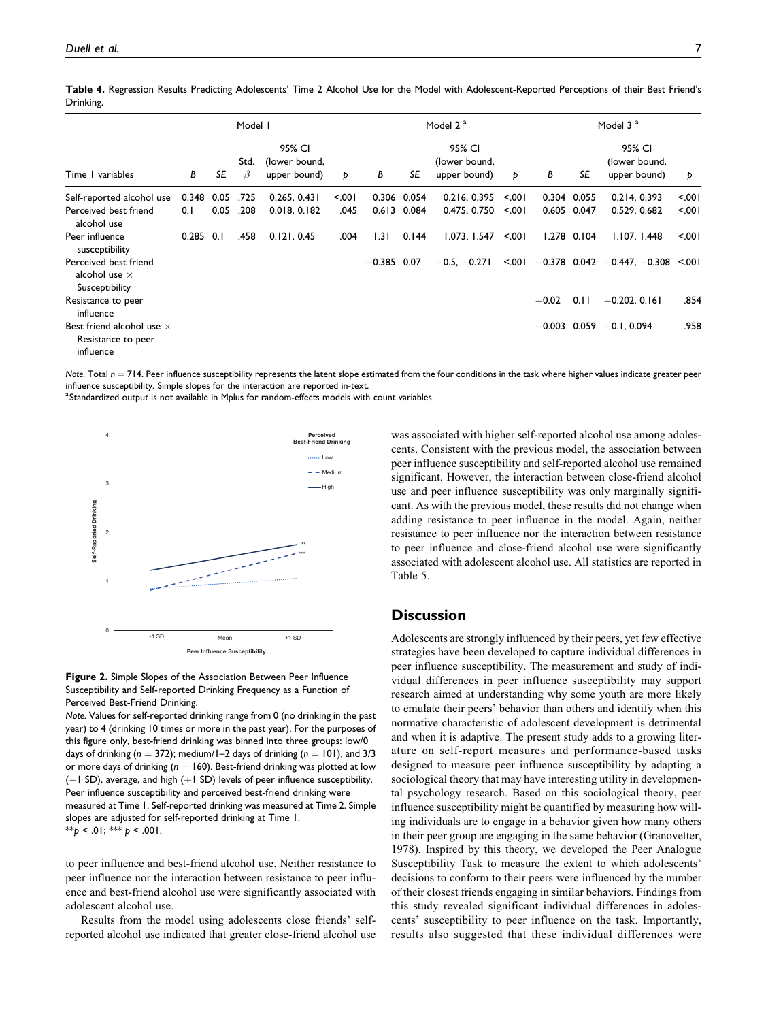| Time I variables                                                    |             |      | Model I   |                                         |       |               | Model 2 <sup>a</sup> |                                         |       |         | Model 3 <sup>a</sup> |                                                            |        |  |
|---------------------------------------------------------------------|-------------|------|-----------|-----------------------------------------|-------|---------------|----------------------|-----------------------------------------|-------|---------|----------------------|------------------------------------------------------------|--------|--|
|                                                                     | В           | SE   | Std.<br>B | 95% CI<br>(lower bound,<br>upper bound) | Þ     | В             | SE                   | 95% CI<br>(lower bound,<br>upper bound) | Þ     | В       | SE                   | 95% CI<br>(lower bound,<br>upper bound)                    | Þ      |  |
| Self-reported alcohol use                                           | 0.348       | 0.05 | .725      | 0.265, 0.431                            | 5.001 |               | 0.306 0.054          | 0.216, 0.395                            | < 001 |         | 0.304 0.055          | 0.214.0.393                                                | 5.001  |  |
| Perceived best friend<br>alcohol use                                | 0.1         | 0.05 | .208      | 0.018, 0.182                            | .045  |               | $0.613$ 0.084        | 0.475, 0.750                            | < 001 |         | 0.605 0.047          | 0.529, 0.682                                               | 5.001  |  |
| Peer influence<br>susceptibility                                    | $0.285$ 0.1 |      | .458      | 0.121, 0.45                             | .004  | 1.31          | 0.144                | 1.073, 1.547 < 0.001                    |       |         | $1.278$ 0.104        | 1.107, 1.448                                               | < 0.01 |  |
| Perceived best friend<br>alcohol use $\times$<br>Susceptibility     |             |      |           |                                         |       | $-0.385$ 0.07 |                      | $-0.5, -0.271$                          |       |         |                      | $\leq 0.01$ $-0.378$ 0.042 $-0.447$ , $-0.308$ $\leq 0.01$ |        |  |
| Resistance to peer<br>influence                                     |             |      |           |                                         |       |               |                      |                                         |       | $-0.02$ | 0.11                 | $-0.202, 0.161$                                            | .854   |  |
| Best friend alcohol use $\times$<br>Resistance to peer<br>influence |             |      |           |                                         |       |               |                      |                                         |       |         |                      | $-0.003$ 0.059 $-0.1$ , 0.094                              | .958   |  |

Table 4. Regression Results Predicting Adolescents' Time 2 Alcohol Use for the Model with Adolescent-Reported Perceptions of their Best Friend's Drinking.

Note. Total  $n = 714$ . Peer influence susceptibility represents the latent slope estimated from the four conditions in the task where higher values indicate greater peer influence susceptibility. Simple slopes for the interaction are reported in-text.

<sup>a</sup>Standardized output is not available in Mplus for random-effects models with count variables.





Note. Values for self-reported drinking range from 0 (no drinking in the past year) to 4 (drinking 10 times or more in the past year). For the purposes of this figure only, best-friend drinking was binned into three groups: low/0 days of drinking ( $n = 372$ ); medium/1–2 days of drinking ( $n = 101$ ), and 3/3 or more days of drinking ( $n = 160$ ). Best-friend drinking was plotted at low  $(-1$  SD), average, and high  $(+1$  SD) levels of peer influence susceptibility. Peer influence susceptibility and perceived best-friend drinking were measured at Time 1. Self-reported drinking was measured at Time 2. Simple slopes are adjusted for self-reported drinking at Time 1. \*\*p < .01; \*\*\* p < .001.

to peer influence and best-friend alcohol use. Neither resistance to peer influence nor the interaction between resistance to peer influence and best-friend alcohol use were significantly associated with adolescent alcohol use.

Results from the model using adolescents close friends' selfreported alcohol use indicated that greater close-friend alcohol use was associated with higher self-reported alcohol use among adolescents. Consistent with the previous model, the association between peer influence susceptibility and self-reported alcohol use remained significant. However, the interaction between close-friend alcohol use and peer influence susceptibility was only marginally significant. As with the previous model, these results did not change when adding resistance to peer influence in the model. Again, neither resistance to peer influence nor the interaction between resistance to peer influence and close-friend alcohol use were significantly associated with adolescent alcohol use. All statistics are reported in Table 5.

## **Discussion**

Adolescents are strongly influenced by their peers, yet few effective strategies have been developed to capture individual differences in peer influence susceptibility. The measurement and study of individual differences in peer influence susceptibility may support research aimed at understanding why some youth are more likely to emulate their peers' behavior than others and identify when this normative characteristic of adolescent development is detrimental and when it is adaptive. The present study adds to a growing literature on self-report measures and performance-based tasks designed to measure peer influence susceptibility by adapting a sociological theory that may have interesting utility in developmental psychology research. Based on this sociological theory, peer influence susceptibility might be quantified by measuring how willing individuals are to engage in a behavior given how many others in their peer group are engaging in the same behavior (Granovetter, 1978). Inspired by this theory, we developed the Peer Analogue Susceptibility Task to measure the extent to which adolescents' decisions to conform to their peers were influenced by the number of their closest friends engaging in similar behaviors. Findings from this study revealed significant individual differences in adolescents' susceptibility to peer influence on the task. Importantly, results also suggested that these individual differences were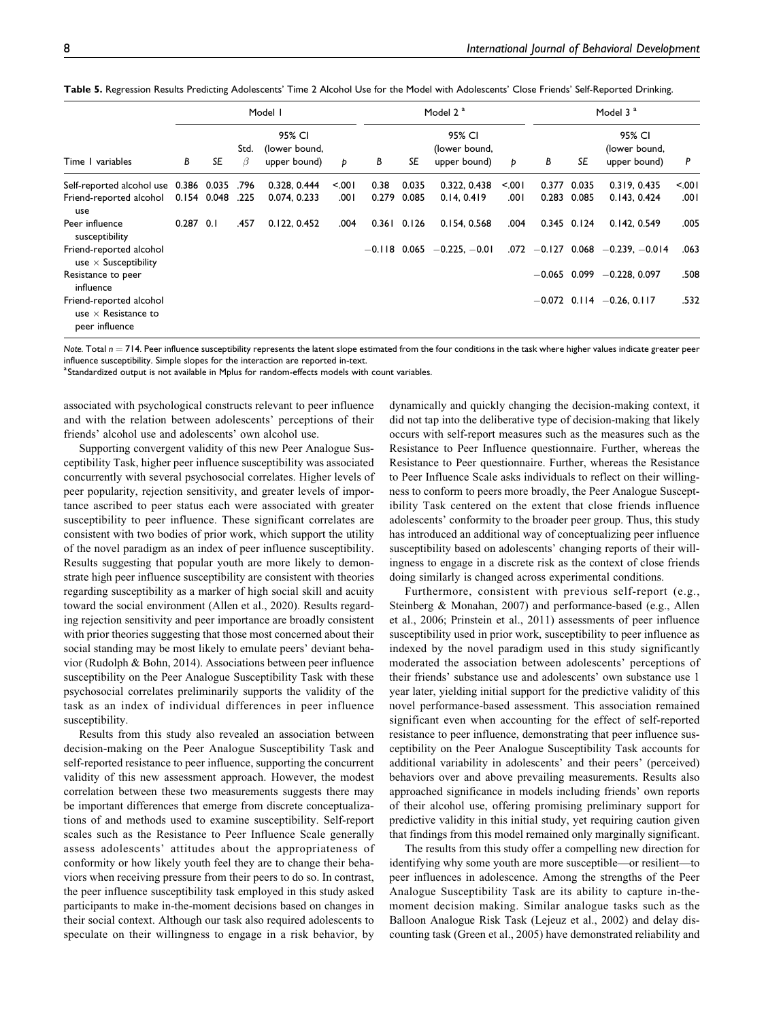Table 5. Regression Results Predicting Adolescents' Time 2 Alcohol Use for the Model with Adolescents' Close Friends' Self-Reported Drinking.

|                                                                         |             |             |           | Model I                                 |         |       | Model 2 <sup>a</sup> |                                         |      |   | Model 3 <sup>a</sup> |                                         |      |  |
|-------------------------------------------------------------------------|-------------|-------------|-----------|-----------------------------------------|---------|-------|----------------------|-----------------------------------------|------|---|----------------------|-----------------------------------------|------|--|
| Time I variables                                                        | В           | SE          | Std.<br>β | 95% CI<br>(lower bound,<br>upper bound) | Þ       | В     | SE                   | 95% CI<br>(lower bound,<br>upper bound) | Þ    | В | SE                   | 95% CI<br>(lower bound,<br>upper bound) | P    |  |
| Self-reported alcohol use 0.386 0.035                                   |             |             | .796      | 0.328, 0.444                            | $500 -$ | 0.38  | 0.035                | 0.322, 0.438                            | 5001 |   | 0.377 0.035          | 0.319, 0.435                            | 5001 |  |
| Friend-reported alcohol<br>use                                          |             | 0.154 0.048 | .225      | 0.074, 0.233                            | ا 00.   | 0.279 | 0.085                | 0.14.0.419                              | .001 |   | 0.283 0.085          | 0.143, 0.424                            | .001 |  |
| Peer influence<br>susceptibility                                        | $0.287$ 0.1 |             | .457      | 0.122, 0.452                            | .004    | 0.361 | 0.126                | 0.154, 0.568                            | .004 |   | $0.345$ $0.124$      | 0.142, 0.549                            | .005 |  |
| Friend-reported alcohol<br>use $\times$ Susceptibility                  |             |             |           |                                         |         |       |                      | $-0.118$ 0.065 $-0.225$ , $-0.01$       |      |   |                      | $.072$ -0.127 0.068 -0.239, -0.014      | .063 |  |
| Resistance to peer<br>influence                                         |             |             |           |                                         |         |       |                      |                                         |      |   |                      | $-0.065$ 0.099 $-0.228$ , 0.097         | .508 |  |
| Friend-reported alcohol<br>use $\times$ Resistance to<br>peer influence |             |             |           |                                         |         |       |                      |                                         |      |   |                      | $-0.072$ 0.114 $-0.26$ , 0.117          | .532 |  |

Note. Total  $n = 714$ . Peer influence susceptibility represents the latent slope estimated from the four conditions in the task where higher values indicate greater peer influence susceptibility. Simple slopes for the interaction are reported in-text.

<sup>a</sup> Standardized output is not available in Mplus for random-effects models with count variables.

associated with psychological constructs relevant to peer influence and with the relation between adolescents' perceptions of their friends' alcohol use and adolescents' own alcohol use.

Supporting convergent validity of this new Peer Analogue Susceptibility Task, higher peer influence susceptibility was associated concurrently with several psychosocial correlates. Higher levels of peer popularity, rejection sensitivity, and greater levels of importance ascribed to peer status each were associated with greater susceptibility to peer influence. These significant correlates are consistent with two bodies of prior work, which support the utility of the novel paradigm as an index of peer influence susceptibility. Results suggesting that popular youth are more likely to demonstrate high peer influence susceptibility are consistent with theories regarding susceptibility as a marker of high social skill and acuity toward the social environment (Allen et al., 2020). Results regarding rejection sensitivity and peer importance are broadly consistent with prior theories suggesting that those most concerned about their social standing may be most likely to emulate peers' deviant behavior (Rudolph & Bohn, 2014). Associations between peer influence susceptibility on the Peer Analogue Susceptibility Task with these psychosocial correlates preliminarily supports the validity of the task as an index of individual differences in peer influence susceptibility.

Results from this study also revealed an association between decision-making on the Peer Analogue Susceptibility Task and self-reported resistance to peer influence, supporting the concurrent validity of this new assessment approach. However, the modest correlation between these two measurements suggests there may be important differences that emerge from discrete conceptualizations of and methods used to examine susceptibility. Self-report scales such as the Resistance to Peer Influence Scale generally assess adolescents' attitudes about the appropriateness of conformity or how likely youth feel they are to change their behaviors when receiving pressure from their peers to do so. In contrast, the peer influence susceptibility task employed in this study asked participants to make in-the-moment decisions based on changes in their social context. Although our task also required adolescents to speculate on their willingness to engage in a risk behavior, by

dynamically and quickly changing the decision-making context, it did not tap into the deliberative type of decision-making that likely occurs with self-report measures such as the measures such as the Resistance to Peer Influence questionnaire. Further, whereas the Resistance to Peer questionnaire. Further, whereas the Resistance to Peer Influence Scale asks individuals to reflect on their willingness to conform to peers more broadly, the Peer Analogue Susceptibility Task centered on the extent that close friends influence adolescents' conformity to the broader peer group. Thus, this study has introduced an additional way of conceptualizing peer influence susceptibility based on adolescents' changing reports of their willingness to engage in a discrete risk as the context of close friends doing similarly is changed across experimental conditions.

Furthermore, consistent with previous self-report (e.g., Steinberg & Monahan, 2007) and performance-based (e.g., Allen et al., 2006; Prinstein et al., 2011) assessments of peer influence susceptibility used in prior work, susceptibility to peer influence as indexed by the novel paradigm used in this study significantly moderated the association between adolescents' perceptions of their friends' substance use and adolescents' own substance use 1 year later, yielding initial support for the predictive validity of this novel performance-based assessment. This association remained significant even when accounting for the effect of self-reported resistance to peer influence, demonstrating that peer influence susceptibility on the Peer Analogue Susceptibility Task accounts for additional variability in adolescents' and their peers' (perceived) behaviors over and above prevailing measurements. Results also approached significance in models including friends' own reports of their alcohol use, offering promising preliminary support for predictive validity in this initial study, yet requiring caution given that findings from this model remained only marginally significant.

The results from this study offer a compelling new direction for identifying why some youth are more susceptible—or resilient—to peer influences in adolescence. Among the strengths of the Peer Analogue Susceptibility Task are its ability to capture in-themoment decision making. Similar analogue tasks such as the Balloon Analogue Risk Task (Lejeuz et al., 2002) and delay discounting task (Green et al., 2005) have demonstrated reliability and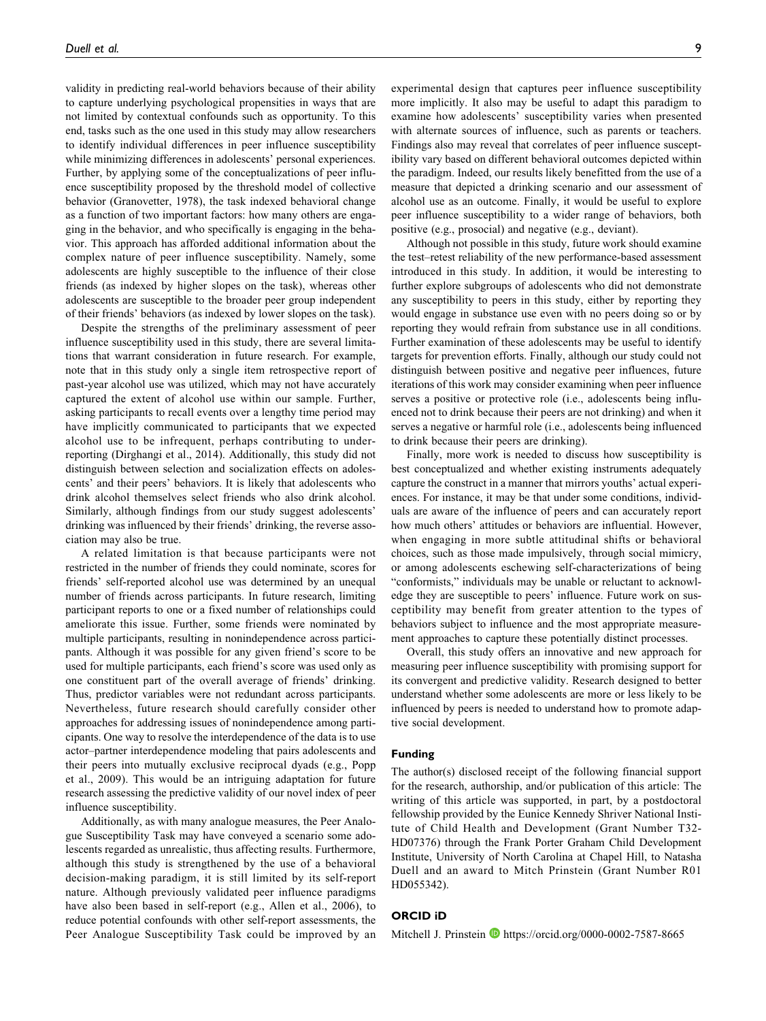validity in predicting real-world behaviors because of their ability to capture underlying psychological propensities in ways that are not limited by contextual confounds such as opportunity. To this end, tasks such as the one used in this study may allow researchers to identify individual differences in peer influence susceptibility while minimizing differences in adolescents' personal experiences. Further, by applying some of the conceptualizations of peer influence susceptibility proposed by the threshold model of collective behavior (Granovetter, 1978), the task indexed behavioral change as a function of two important factors: how many others are engaging in the behavior, and who specifically is engaging in the behavior. This approach has afforded additional information about the complex nature of peer influence susceptibility. Namely, some adolescents are highly susceptible to the influence of their close friends (as indexed by higher slopes on the task), whereas other adolescents are susceptible to the broader peer group independent of their friends' behaviors (as indexed by lower slopes on the task).

Despite the strengths of the preliminary assessment of peer influence susceptibility used in this study, there are several limitations that warrant consideration in future research. For example, note that in this study only a single item retrospective report of past-year alcohol use was utilized, which may not have accurately captured the extent of alcohol use within our sample. Further, asking participants to recall events over a lengthy time period may have implicitly communicated to participants that we expected alcohol use to be infrequent, perhaps contributing to underreporting (Dirghangi et al., 2014). Additionally, this study did not distinguish between selection and socialization effects on adolescents' and their peers' behaviors. It is likely that adolescents who drink alcohol themselves select friends who also drink alcohol. Similarly, although findings from our study suggest adolescents' drinking was influenced by their friends' drinking, the reverse association may also be true.

A related limitation is that because participants were not restricted in the number of friends they could nominate, scores for friends' self-reported alcohol use was determined by an unequal number of friends across participants. In future research, limiting participant reports to one or a fixed number of relationships could ameliorate this issue. Further, some friends were nominated by multiple participants, resulting in nonindependence across participants. Although it was possible for any given friend's score to be used for multiple participants, each friend's score was used only as one constituent part of the overall average of friends' drinking. Thus, predictor variables were not redundant across participants. Nevertheless, future research should carefully consider other approaches for addressing issues of nonindependence among participants. One way to resolve the interdependence of the data is to use actor–partner interdependence modeling that pairs adolescents and their peers into mutually exclusive reciprocal dyads (e.g., Popp et al., 2009). This would be an intriguing adaptation for future research assessing the predictive validity of our novel index of peer influence susceptibility.

Additionally, as with many analogue measures, the Peer Analogue Susceptibility Task may have conveyed a scenario some adolescents regarded as unrealistic, thus affecting results. Furthermore, although this study is strengthened by the use of a behavioral decision-making paradigm, it is still limited by its self-report nature. Although previously validated peer influence paradigms have also been based in self-report (e.g., Allen et al., 2006), to reduce potential confounds with other self-report assessments, the Peer Analogue Susceptibility Task could be improved by an experimental design that captures peer influence susceptibility more implicitly. It also may be useful to adapt this paradigm to examine how adolescents' susceptibility varies when presented with alternate sources of influence, such as parents or teachers. Findings also may reveal that correlates of peer influence susceptibility vary based on different behavioral outcomes depicted within the paradigm. Indeed, our results likely benefitted from the use of a measure that depicted a drinking scenario and our assessment of alcohol use as an outcome. Finally, it would be useful to explore peer influence susceptibility to a wider range of behaviors, both positive (e.g., prosocial) and negative (e.g., deviant).

Although not possible in this study, future work should examine the test–retest reliability of the new performance-based assessment introduced in this study. In addition, it would be interesting to further explore subgroups of adolescents who did not demonstrate any susceptibility to peers in this study, either by reporting they would engage in substance use even with no peers doing so or by reporting they would refrain from substance use in all conditions. Further examination of these adolescents may be useful to identify targets for prevention efforts. Finally, although our study could not distinguish between positive and negative peer influences, future iterations of this work may consider examining when peer influence serves a positive or protective role (i.e., adolescents being influenced not to drink because their peers are not drinking) and when it serves a negative or harmful role (i.e., adolescents being influenced to drink because their peers are drinking).

Finally, more work is needed to discuss how susceptibility is best conceptualized and whether existing instruments adequately capture the construct in a manner that mirrors youths' actual experiences. For instance, it may be that under some conditions, individuals are aware of the influence of peers and can accurately report how much others' attitudes or behaviors are influential. However, when engaging in more subtle attitudinal shifts or behavioral choices, such as those made impulsively, through social mimicry, or among adolescents eschewing self-characterizations of being "conformists," individuals may be unable or reluctant to acknowledge they are susceptible to peers' influence. Future work on susceptibility may benefit from greater attention to the types of behaviors subject to influence and the most appropriate measurement approaches to capture these potentially distinct processes.

Overall, this study offers an innovative and new approach for measuring peer influence susceptibility with promising support for its convergent and predictive validity. Research designed to better understand whether some adolescents are more or less likely to be influenced by peers is needed to understand how to promote adaptive social development.

#### Funding

The author(s) disclosed receipt of the following financial support for the research, authorship, and/or publication of this article: The writing of this article was supported, in part, by a postdoctoral fellowship provided by the Eunice Kennedy Shriver National Institute of Child Health and Development (Grant Number T32- HD07376) through the Frank Porter Graham Child Development Institute, University of North Carolina at Chapel Hill, to Natasha Duell and an award to Mitch Prinstein (Grant Number R01 HD055342).

#### ORCID iD

Mitchell J. Prinstein **<https://orcid.org/0000-0002-7587-8665>**